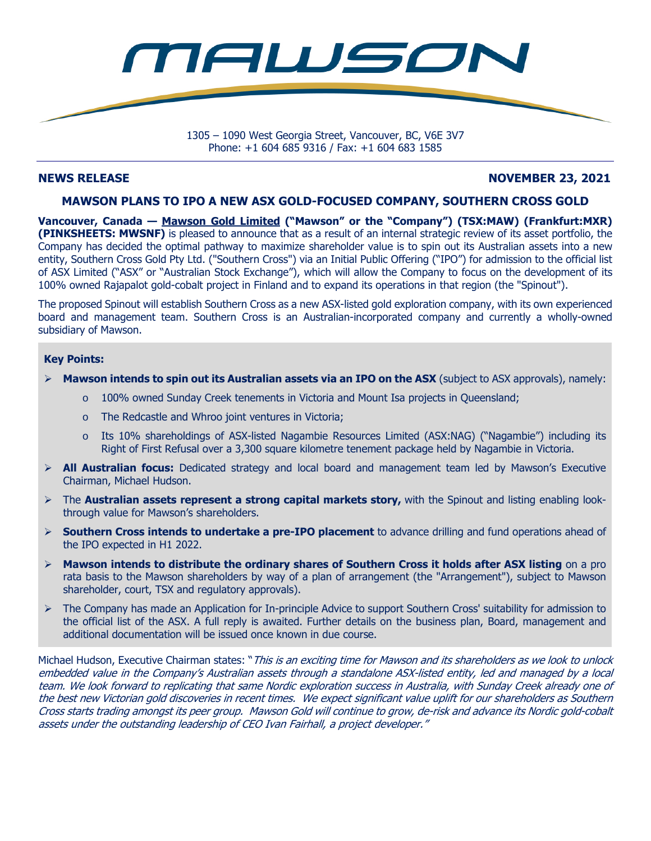

Phone: +1 604 685 9316 / Fax: +1 604 683 1585

# **NEWS RELEASE NOVEMBER 23, 2021**

# **MAWSON PLANS TO IPO A NEW ASX GOLD-FOCUSED COMPANY, SOUTHERN CROSS GOLD**

**Vancouver, Canada — Mawson Gold Limited ("Mawson" or the "Company") (TSX:MAW) (Frankfurt:MXR) (PINKSHEETS: MWSNF)** is pleased to announce that as a result of an internal strategic review of its asset portfolio, the Company has decided the optimal pathway to maximize shareholder value is to spin out its Australian assets into a new entity, Southern Cross Gold Pty Ltd. ("Southern Cross") via an Initial Public Offering ("IPO") for admission to the official list of ASX Limited ("ASX" or "Australian Stock Exchange"), which will allow the Company to focus on the development of its 100% owned Rajapalot gold-cobalt project in Finland and to expand its operations in that region (the "Spinout").

The proposed Spinout will establish Southern Cross as a new ASX-listed gold exploration company, with its own experienced board and management team. Southern Cross is an Australian-incorporated company and currently a wholly-owned subsidiary of Mawson.

## **Key Points:**

- **Mawson intends to spin out its Australian assets via an IPO on the ASX** (subject to ASX approvals), namely:
	- o 100% owned Sunday Creek tenements in Victoria and Mount Isa projects in Queensland;
	- o The Redcastle and Whroo joint ventures in Victoria;
	- o Its 10% shareholdings of ASX-listed Nagambie Resources Limited (ASX:NAG) ("Nagambie") including its Right of First Refusal over a 3,300 square kilometre tenement package held by Nagambie in Victoria.
- **All Australian focus:** Dedicated strategy and local board and management team led by Mawson's Executive Chairman, Michael Hudson.
- $\triangleright$  The **Australian assets represent a strong capital markets story,** with the Spinout and listing enabling lookthrough value for Mawson's shareholders.
- **Southern Cross intends to undertake a pre-IPO placement** to advance drilling and fund operations ahead of the IPO expected in H1 2022.
- **Mawson intends to distribute the ordinary shares of Southern Cross it holds after ASX listing** on a pro rata basis to the Mawson shareholders by way of a plan of arrangement (the "Arrangement"), subject to Mawson shareholder, court, TSX and regulatory approvals).
- $\triangleright$  The Company has made an Application for In-principle Advice to support Southern Cross' suitability for admission to the official list of the ASX. A full reply is awaited. Further details on the business plan, Board, management and additional documentation will be issued once known in due course.

Michael Hudson, Executive Chairman states: "This is an exciting time for Mawson and its shareholders as we look to unlock embedded value in the Company's Australian assets through a standalone ASX-listed entity, led and managed by a local team. We look forward to replicating that same Nordic exploration success in Australia, with Sunday Creek already one of the best new Victorian gold discoveries in recent times. We expect significant value uplift for our shareholders as Southern Cross starts trading amongst its peer group. Mawson Gold will continue to grow, de-risk and advance its Nordic gold-cobalt assets under the outstanding leadership of CEO Ivan Fairhall, a project developer."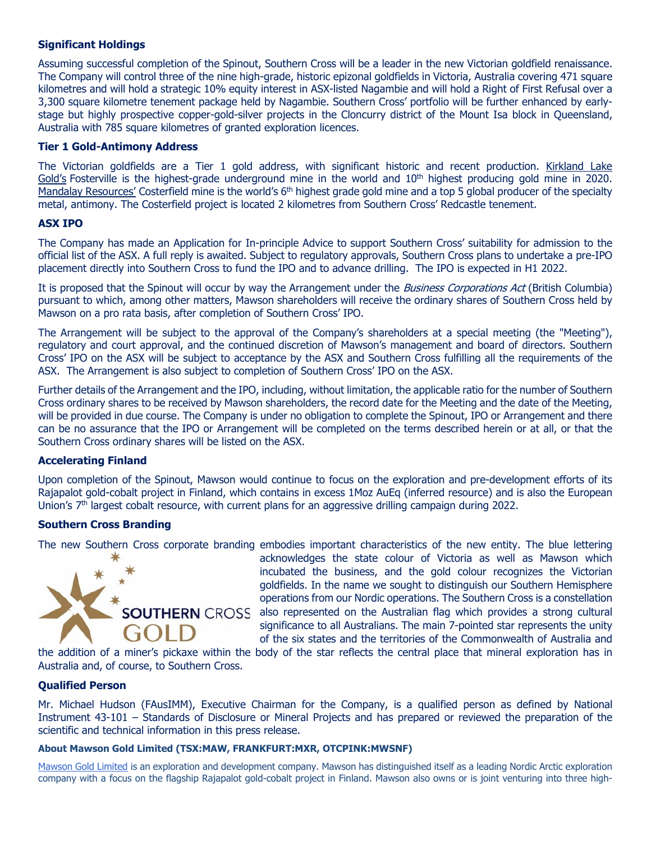## **Significant Holdings**

Assuming successful completion of the Spinout, Southern Cross will be a leader in the new Victorian goldfield renaissance. The Company will control three of the nine high-grade, historic epizonal goldfields in Victoria, Australia covering 471 square kilometres and will hold a strategic 10% equity interest in ASX-listed Nagambie and will hold a Right of First Refusal over a 3,300 square kilometre tenement package held by Nagambie. Southern Cross' portfolio will be further enhanced by earlystage but highly prospective copper-gold-silver projects in the Cloncurry district of the Mount Isa block in Queensland, Australia with 785 square kilometres of granted exploration licences.

### **Tier 1 Gold-Antimony Address**

The Victorian goldfields are a Tier 1 gold address, with significant historic and recent production. Kirkland Lake Gold's Fosterville is the highest-grade underground mine in the world and  $10<sup>th</sup>$  highest producing gold mine in 2020. Mandalay Resources' Costerfield mine is the world's 6<sup>th</sup> highest grade gold mine and a top 5 global producer of the specialty metal, antimony. The Costerfield project is located 2 kilometres from Southern Cross' Redcastle tenement.

## **ASX IPO**

The Company has made an Application for In-principle Advice to support Southern Cross' suitability for admission to the official list of the ASX. A full reply is awaited. Subject to regulatory approvals, Southern Cross plans to undertake a pre-IPO placement directly into Southern Cross to fund the IPO and to advance drilling. The IPO is expected in H1 2022.

It is proposed that the Spinout will occur by way the Arrangement under the *Business Corporations Act* (British Columbia) pursuant to which, among other matters, Mawson shareholders will receive the ordinary shares of Southern Cross held by Mawson on a pro rata basis, after completion of Southern Cross' IPO.

The Arrangement will be subject to the approval of the Company's shareholders at a special meeting (the "Meeting"), regulatory and court approval, and the continued discretion of Mawson's management and board of directors. Southern Cross' IPO on the ASX will be subject to acceptance by the ASX and Southern Cross fulfilling all the requirements of the ASX. The Arrangement is also subject to completion of Southern Cross' IPO on the ASX.

Further details of the Arrangement and the IPO, including, without limitation, the applicable ratio for the number of Southern Cross ordinary shares to be received by Mawson shareholders, the record date for the Meeting and the date of the Meeting, will be provided in due course. The Company is under no obligation to complete the Spinout, IPO or Arrangement and there can be no assurance that the IPO or Arrangement will be completed on the terms described herein or at all, or that the Southern Cross ordinary shares will be listed on the ASX.

#### **Accelerating Finland**

Upon completion of the Spinout, Mawson would continue to focus on the exploration and pre-development efforts of its Rajapalot gold-cobalt project in Finland, which contains in excess 1Moz AuEq (inferred resource) and is also the European Union's 7th largest cobalt resource, with current plans for an aggressive drilling campaign during 2022.

## **Southern Cross Branding**

The new Southern Cross corporate branding embodies important characteristics of the new entity. The blue lettering



acknowledges the state colour of Victoria as well as Mawson which incubated the business, and the gold colour recognizes the Victorian goldfields. In the name we sought to distinguish our Southern Hemisphere operations from our Nordic operations. The Southern Cross is a constellation **SOUTHERN** CROSS also represented on the Australian flag which provides a strong cultural significance to all Australians. The main 7-pointed star represents the unity of the six states and the territories of the Commonwealth of Australia and

the addition of a miner's pickaxe within the body of the star reflects the central place that mineral exploration has in Australia and, of course, to Southern Cross.

#### **Qualified Person**

Mr. Michael Hudson (FAusIMM), Executive Chairman for the Company, is a qualified person as defined by National Instrument 43-101 – Standards of Disclosure or Mineral Projects and has prepared or reviewed the preparation of the scientific and technical information in this press release.

### **About Mawson Gold Limited (TSX:MAW, FRANKFURT:MXR, OTCPINK:MWSNF)**

Mawson Gold Limited is an exploration and development company. Mawson has distinguished itself as a leading Nordic Arctic exploration company with a focus on the flagship Rajapalot gold-cobalt project in Finland. Mawson also owns or is joint venturing into three high-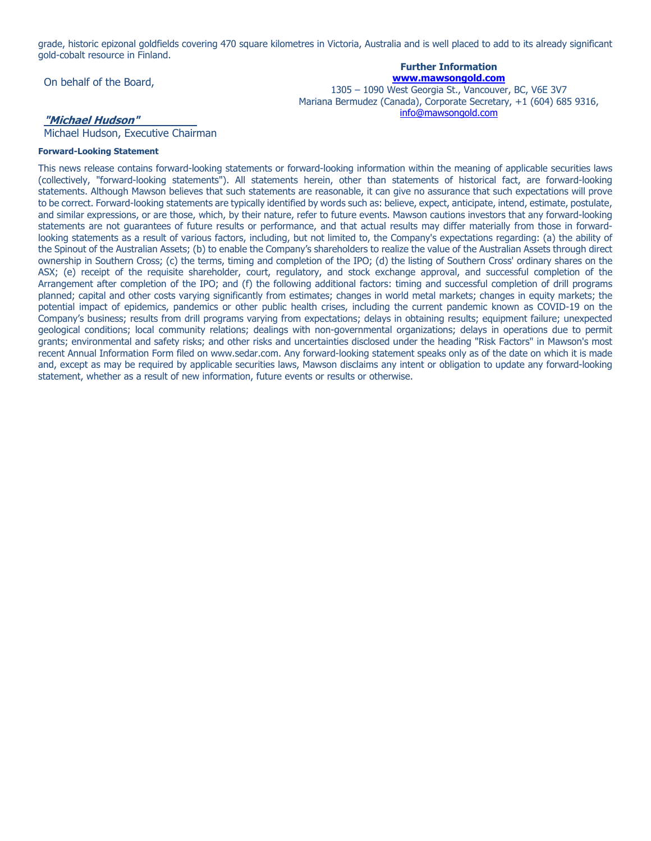grade, historic epizonal goldfields covering 470 square kilometres in Victoria, Australia and is well placed to add to its already significant gold-cobalt resource in Finland.

On behalf of the Board,

# **Further Information**

**www.mawsongold.com**  1305 – 1090 West Georgia St., Vancouver, BC, V6E 3V7 Mariana Bermudez (Canada), Corporate Secretary, +1 (604) 685 9316, info@mawsongold.com

# **"Michael Hudson"**

Michael Hudson, Executive Chairman

### **Forward-Looking Statement**

This news release contains forward-looking statements or forward-looking information within the meaning of applicable securities laws (collectively, "forward-looking statements"). All statements herein, other than statements of historical fact, are forward-looking statements. Although Mawson believes that such statements are reasonable, it can give no assurance that such expectations will prove to be correct. Forward-looking statements are typically identified by words such as: believe, expect, anticipate, intend, estimate, postulate, and similar expressions, or are those, which, by their nature, refer to future events. Mawson cautions investors that any forward-looking statements are not guarantees of future results or performance, and that actual results may differ materially from those in forwardlooking statements as a result of various factors, including, but not limited to, the Company's expectations regarding: (a) the ability of the Spinout of the Australian Assets; (b) to enable the Company's shareholders to realize the value of the Australian Assets through direct ownership in Southern Cross; (c) the terms, timing and completion of the IPO; (d) the listing of Southern Cross' ordinary shares on the ASX; (e) receipt of the requisite shareholder, court, regulatory, and stock exchange approval, and successful completion of the Arrangement after completion of the IPO; and (f) the following additional factors: timing and successful completion of drill programs planned; capital and other costs varying significantly from estimates; changes in world metal markets; changes in equity markets; the potential impact of epidemics, pandemics or other public health crises, including the current pandemic known as COVID-19 on the Company's business; results from drill programs varying from expectations; delays in obtaining results; equipment failure; unexpected geological conditions; local community relations; dealings with non-governmental organizations; delays in operations due to permit grants; environmental and safety risks; and other risks and uncertainties disclosed under the heading "Risk Factors" in Mawson's most recent Annual Information Form filed on www.sedar.com. Any forward-looking statement speaks only as of the date on which it is made and, except as may be required by applicable securities laws, Mawson disclaims any intent or obligation to update any forward-looking statement, whether as a result of new information, future events or results or otherwise.